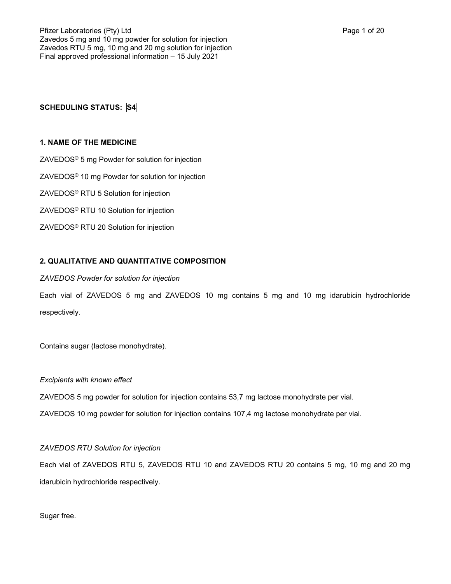# **SCHEDULING STATUS: S4**

# **1. NAME OF THE MEDICINE**

ZAVEDOS® 5 mg Powder for solution for injection

ZAVEDOS® 10 mg Powder for solution for injection

ZAVEDOS® RTU 5 Solution for injection

ZAVEDOS® RTU 10 Solution for injection

ZAVEDOS® RTU 20 Solution for injection

# **2. QUALITATIVE AND QUANTITATIVE COMPOSITION**

# *ZAVEDOS Powder for solution for injection*

Each vial of ZAVEDOS 5 mg and ZAVEDOS 10 mg contains 5 mg and 10 mg idarubicin hydrochloride respectively.

Contains sugar (lactose monohydrate).

# *Excipients with known effect*

ZAVEDOS 5 mg powder for solution for injection contains 53,7 mg lactose monohydrate per vial.

ZAVEDOS 10 mg powder for solution for injection contains 107,4 mg lactose monohydrate per vial.

# *ZAVEDOS RTU Solution for injection*

Each vial of ZAVEDOS RTU 5, ZAVEDOS RTU 10 and ZAVEDOS RTU 20 contains 5 mg, 10 mg and 20 mg idarubicin hydrochloride respectively.

Sugar free.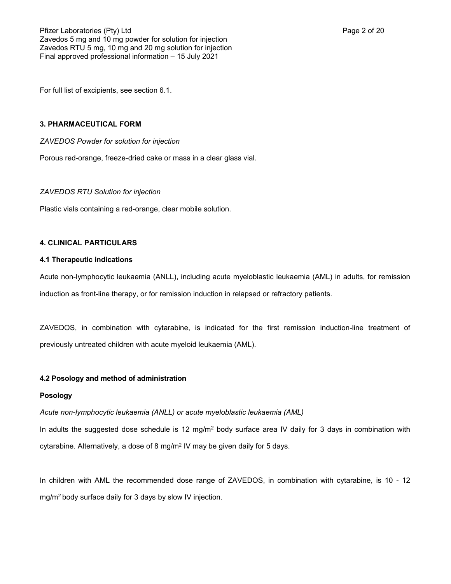For full list of excipients, see section 6.1.

# **3. PHARMACEUTICAL FORM**

*ZAVEDOS Powder for solution for injection*

Porous red-orange, freeze-dried cake or mass in a clear glass vial.

### *ZAVEDOS RTU Solution for injection*

Plastic vials containing a red-orange, clear mobile solution.

### **4. CLINICAL PARTICULARS**

# **4.1 Therapeutic indications**

Acute non-lymphocytic leukaemia (ANLL), including acute myeloblastic leukaemia (AML) in adults, for remission induction as front-line therapy, or for remission induction in relapsed or refractory patients.

ZAVEDOS, in combination with cytarabine, is indicated for the first remission induction-line treatment of previously untreated children with acute myeloid leukaemia (AML).

### **4.2 Posology and method of administration**

### **Posology**

*Acute non-lymphocytic leukaemia (ANLL) or acute myeloblastic leukaemia (AML)*

In adults the suggested dose schedule is 12 mg/m<sup>2</sup> body surface area IV daily for 3 days in combination with cytarabine. Alternatively, a dose of 8 mg/m $^2$  IV may be given daily for 5 days.

In children with AML the recommended dose range of ZAVEDOS, in combination with cytarabine, is 10 - 12 mg/m2 body surface daily for 3 days by slow IV injection.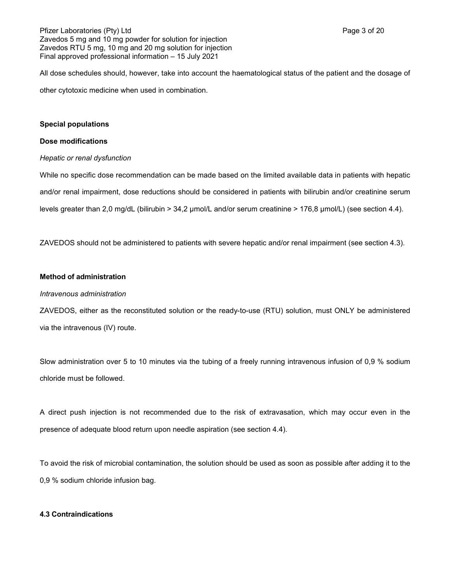# Pfizer Laboratories (Pty) Ltd **Page 3 of 20** Page 3 of 20 Zavedos 5 mg and 10 mg powder for solution for injection Zavedos RTU 5 mg, 10 mg and 20 mg solution for injection Final approved professional information – 15 July 2021

All dose schedules should, however, take into account the haematological status of the patient and the dosage of other cytotoxic medicine when used in combination.

# **Special populations**

# **Dose modifications**

# *Hepatic or renal dysfunction*

While no specific dose recommendation can be made based on the limited available data in patients with hepatic and/or renal impairment, dose reductions should be considered in patients with bilirubin and/or creatinine serum levels greater than 2,0 mg/dL (bilirubin > 34,2 µmol/L and/or serum creatinine > 176,8 µmol/L) (see section 4.4).

ZAVEDOS should not be administered to patients with severe hepatic and/or renal impairment (see section 4.3).

# **Method of administration**

# *Intravenous administration*

ZAVEDOS, either as the reconstituted solution or the ready-to-use (RTU) solution, must ONLY be administered via the intravenous (IV) route.

Slow administration over 5 to 10 minutes via the tubing of a freely running intravenous infusion of 0,9 % sodium chloride must be followed.

A direct push injection is not recommended due to the risk of extravasation, which may occur even in the presence of adequate blood return upon needle aspiration (see section 4.4).

To avoid the risk of microbial contamination, the solution should be used as soon as possible after adding it to the 0,9 % sodium chloride infusion bag.

# **4.3 Contraindications**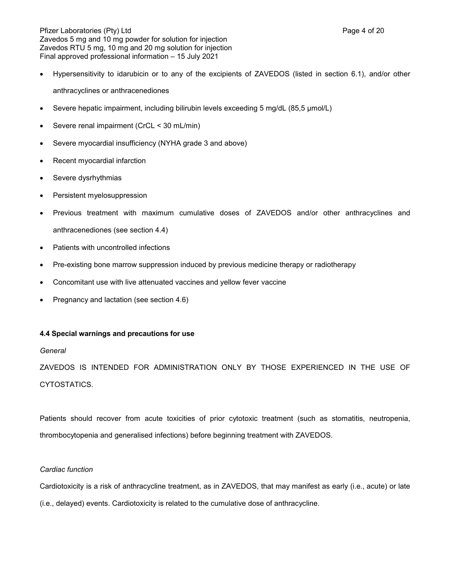Pfizer Laboratories (Pty) Ltd **Page 4 of 20** Page 4 of 20 Zavedos 5 mg and 10 mg powder for solution for injection Zavedos RTU 5 mg, 10 mg and 20 mg solution for injection Final approved professional information – 15 July 2021

- Hypersensitivity to idarubicin or to any of the excipients of ZAVEDOS (listed in section 6.1), and/or other anthracyclines or anthracenediones
- Severe hepatic impairment, including bilirubin levels exceeding 5 mg/dL (85,5 μmol/L)
- Severe renal impairment (CrCL < 30 mL/min)
- Severe myocardial insufficiency (NYHA grade 3 and above)
- Recent myocardial infarction
- Severe dysrhythmias
- Persistent myelosuppression
- Previous treatment with maximum cumulative doses of ZAVEDOS and/or other anthracyclines and anthracenediones (see section 4.4)
- Patients with uncontrolled infections
- Pre-existing bone marrow suppression induced by previous medicine therapy or radiotherapy
- Concomitant use with live attenuated vaccines and yellow fever vaccine
- Pregnancy and lactation (see section 4.6)

# **4.4 Special warnings and precautions for use**

# *General*

ZAVEDOS IS INTENDED FOR ADMINISTRATION ONLY BY THOSE EXPERIENCED IN THE USE OF CYTOSTATICS.

Patients should recover from acute toxicities of prior cytotoxic treatment (such as stomatitis, neutropenia, thrombocytopenia and generalised infections) before beginning treatment with ZAVEDOS.

# *Cardiac function*

Cardiotoxicity is a risk of anthracycline treatment, as in ZAVEDOS, that may manifest as early (i.e., acute) or late (i.e., delayed) events. Cardiotoxicity is related to the cumulative dose of anthracycline.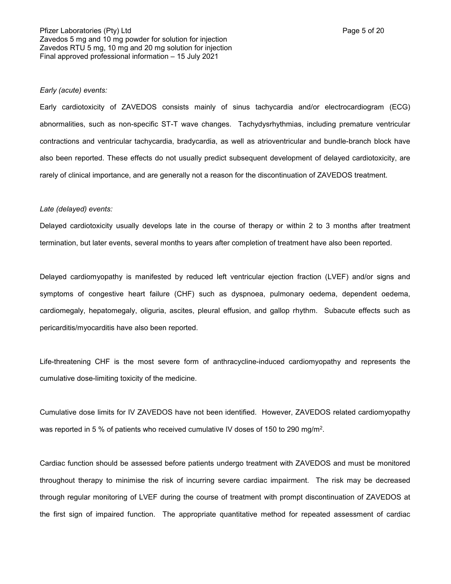#### *Early (acute) events:*

Early cardiotoxicity of ZAVEDOS consists mainly of sinus tachycardia and/or electrocardiogram (ECG) abnormalities, such as non-specific ST-T wave changes. Tachydysrhythmias, including premature ventricular contractions and ventricular tachycardia, bradycardia, as well as atrioventricular and bundle-branch block have also been reported. These effects do not usually predict subsequent development of delayed cardiotoxicity, are rarely of clinical importance, and are generally not a reason for the discontinuation of ZAVEDOS treatment.

#### *Late (delayed) events:*

Delayed cardiotoxicity usually develops late in the course of therapy or within 2 to 3 months after treatment termination, but later events, several months to years after completion of treatment have also been reported.

Delayed cardiomyopathy is manifested by reduced left ventricular ejection fraction (LVEF) and/or signs and symptoms of congestive heart failure (CHF) such as dyspnoea, pulmonary oedema, dependent oedema, cardiomegaly, hepatomegaly, oliguria, ascites, pleural effusion, and gallop rhythm. Subacute effects such as pericarditis/myocarditis have also been reported.

Life-threatening CHF is the most severe form of anthracycline-induced cardiomyopathy and represents the cumulative dose-limiting toxicity of the medicine.

Cumulative dose limits for IV ZAVEDOS have not been identified. However, ZAVEDOS related cardiomyopathy was reported in 5 % of patients who received cumulative IV doses of 150 to 290 mg/m².

Cardiac function should be assessed before patients undergo treatment with ZAVEDOS and must be monitored throughout therapy to minimise the risk of incurring severe cardiac impairment. The risk may be decreased through regular monitoring of LVEF during the course of treatment with prompt discontinuation of ZAVEDOS at the first sign of impaired function. The appropriate quantitative method for repeated assessment of cardiac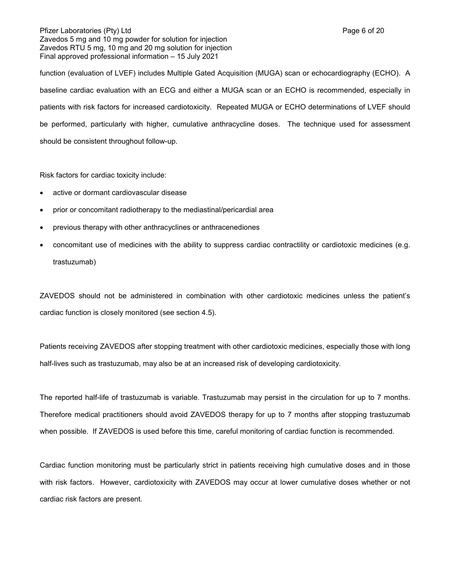### Pfizer Laboratories (Pty) Ltd **Page 6 of 20** Page 6 of 20 Zavedos 5 mg and 10 mg powder for solution for injection Zavedos RTU 5 mg, 10 mg and 20 mg solution for injection Final approved professional information – 15 July 2021

function (evaluation of LVEF) includes Multiple Gated Acquisition (MUGA) scan or echocardiography (ECHO). A baseline cardiac evaluation with an ECG and either a MUGA scan or an ECHO is recommended, especially in patients with risk factors for increased cardiotoxicity. Repeated MUGA or ECHO determinations of LVEF should be performed, particularly with higher, cumulative anthracycline doses. The technique used for assessment

should be consistent throughout follow-up.

Risk factors for cardiac toxicity include:

- active or dormant cardiovascular disease
- prior or concomitant radiotherapy to the mediastinal/pericardial area
- previous therapy with other anthracyclines or anthracenediones
- concomitant use of medicines with the ability to suppress cardiac contractility or cardiotoxic medicines (e.g. trastuzumab)

ZAVEDOS should not be administered in combination with other cardiotoxic medicines unless the patient's cardiac function is closely monitored (see section 4.5).

Patients receiving ZAVEDOS after stopping treatment with other cardiotoxic medicines, especially those with long half-lives such as trastuzumab, may also be at an increased risk of developing cardiotoxicity.

The reported half-life of trastuzumab is variable. Trastuzumab may persist in the circulation for up to 7 months. Therefore medical practitioners should avoid ZAVEDOS therapy for up to 7 months after stopping trastuzumab when possible. If ZAVEDOS is used before this time, careful monitoring of cardiac function is recommended.

Cardiac function monitoring must be particularly strict in patients receiving high cumulative doses and in those with risk factors. However, cardiotoxicity with ZAVEDOS may occur at lower cumulative doses whether or not cardiac risk factors are present.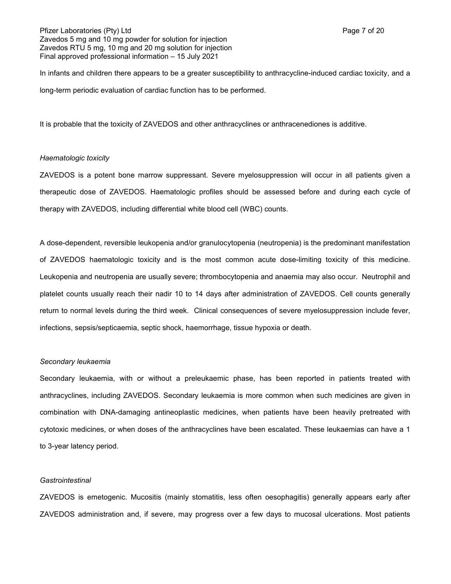In infants and children there appears to be a greater susceptibility to anthracycline-induced cardiac toxicity, and a long-term periodic evaluation of cardiac function has to be performed.

It is probable that the toxicity of ZAVEDOS and other anthracyclines or anthracenediones is additive.

### *Haematologic toxicity*

ZAVEDOS is a potent bone marrow suppressant. Severe myelosuppression will occur in all patients given a therapeutic dose of ZAVEDOS. Haematologic profiles should be assessed before and during each cycle of therapy with ZAVEDOS, including differential white blood cell (WBC) counts.

A dose-dependent, reversible leukopenia and/or granulocytopenia (neutropenia) is the predominant manifestation of ZAVEDOS haematologic toxicity and is the most common acute dose-limiting toxicity of this medicine. Leukopenia and neutropenia are usually severe; thrombocytopenia and anaemia may also occur. Neutrophil and platelet counts usually reach their nadir 10 to 14 days after administration of ZAVEDOS. Cell counts generally return to normal levels during the third week. Clinical consequences of severe myelosuppression include fever, infections, sepsis/septicaemia, septic shock, haemorrhage, tissue hypoxia or death.

#### *Secondary leukaemia*

Secondary leukaemia, with or without a preleukaemic phase, has been reported in patients treated with anthracyclines, including ZAVEDOS. Secondary leukaemia is more common when such medicines are given in combination with DNA-damaging antineoplastic medicines, when patients have been heavily pretreated with cytotoxic medicines, or when doses of the anthracyclines have been escalated. These leukaemias can have a 1 to 3-year latency period.

#### *Gastrointestinal*

ZAVEDOS is emetogenic. Mucositis (mainly stomatitis, less often oesophagitis) generally appears early after ZAVEDOS administration and, if severe, may progress over a few days to mucosal ulcerations. Most patients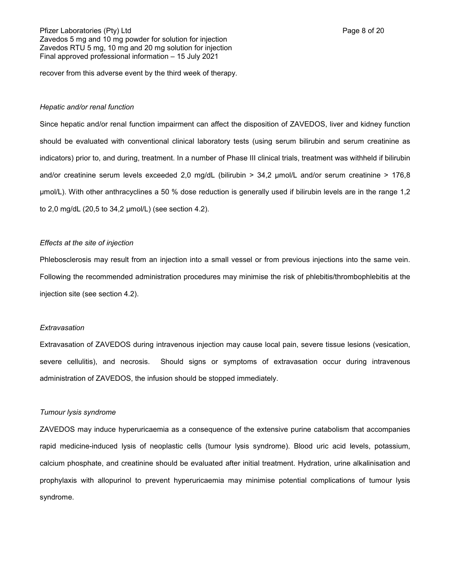recover from this adverse event by the third week of therapy.

#### *Hepatic and/or renal function*

Since hepatic and/or renal function impairment can affect the disposition of ZAVEDOS, liver and kidney function should be evaluated with conventional clinical laboratory tests (using serum bilirubin and serum creatinine as indicators) prior to, and during, treatment. In a number of Phase III clinical trials, treatment was withheld if bilirubin and/or creatinine serum levels exceeded 2,0 mg/dL (bilirubin > 34,2 µmol/L and/or serum creatinine > 176,8 µmol/L). With other anthracyclines a 50 % dose reduction is generally used if bilirubin levels are in the range 1,2 to 2,0 mg/dL (20,5 to 34,2 µmol/L) (see section 4.2).

#### *Effects at the site of injection*

Phlebosclerosis may result from an injection into a small vessel or from previous injections into the same vein. Following the recommended administration procedures may minimise the risk of phlebitis/thrombophlebitis at the injection site (see section 4.2).

#### *Extravasation*

Extravasation of ZAVEDOS during intravenous injection may cause local pain, severe tissue lesions (vesication, severe cellulitis), and necrosis. Should signs or symptoms of extravasation occur during intravenous administration of ZAVEDOS, the infusion should be stopped immediately.

#### *Tumour lysis syndrome*

ZAVEDOS may induce hyperuricaemia as a consequence of the extensive purine catabolism that accompanies rapid medicine-induced lysis of neoplastic cells (tumour lysis syndrome). Blood uric acid levels, potassium, calcium phosphate, and creatinine should be evaluated after initial treatment. Hydration, urine alkalinisation and prophylaxis with allopurinol to prevent hyperuricaemia may minimise potential complications of tumour lysis syndrome.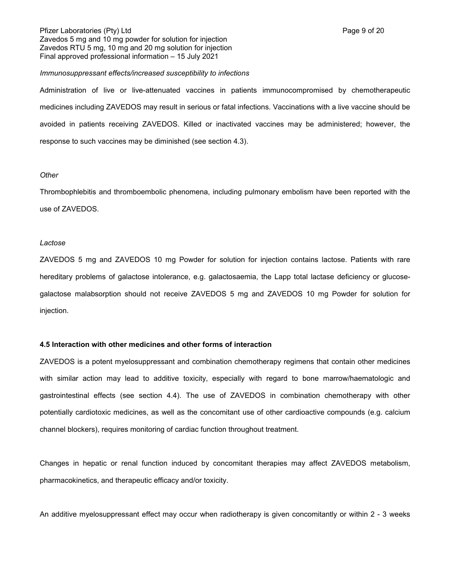#### *Immunosuppressant effects/increased susceptibility to infections*

Administration of live or live-attenuated vaccines in patients immunocompromised by chemotherapeutic medicines including ZAVEDOS may result in serious or fatal infections. Vaccinations with a live vaccine should be avoided in patients receiving ZAVEDOS. Killed or inactivated vaccines may be administered; however, the response to such vaccines may be diminished (see section 4.3).

#### *Other*

Thrombophlebitis and thromboembolic phenomena, including pulmonary embolism have been reported with the use of ZAVEDOS.

#### *Lactose*

ZAVEDOS 5 mg and ZAVEDOS 10 mg Powder for solution for injection contains lactose. Patients with rare hereditary problems of galactose intolerance, e.g. galactosaemia, the Lapp total lactase deficiency or glucosegalactose malabsorption should not receive ZAVEDOS 5 mg and ZAVEDOS 10 mg Powder for solution for injection.

### **4.5 Interaction with other medicines and other forms of interaction**

ZAVEDOS is a potent myelosuppressant and combination chemotherapy regimens that contain other medicines with similar action may lead to additive toxicity, especially with regard to bone marrow/haematologic and gastrointestinal effects (see section 4.4). The use of ZAVEDOS in combination chemotherapy with other potentially cardiotoxic medicines, as well as the concomitant use of other cardioactive compounds (e.g. calcium channel blockers), requires monitoring of cardiac function throughout treatment.

Changes in hepatic or renal function induced by concomitant therapies may affect ZAVEDOS metabolism, pharmacokinetics, and therapeutic efficacy and/or toxicity.

An additive myelosuppressant effect may occur when radiotherapy is given concomitantly or within 2 - 3 weeks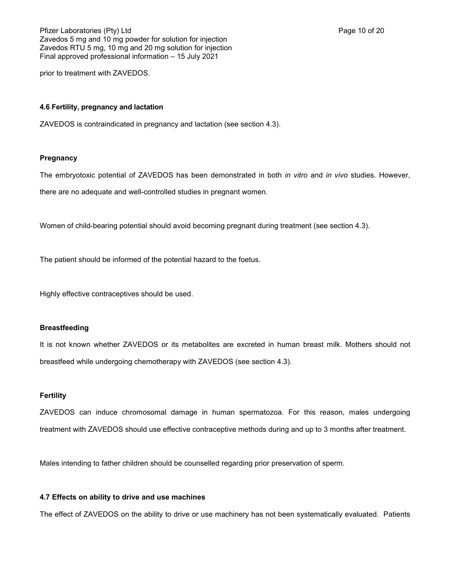prior to treatment with ZAVEDOS.

### **4.6 Fertility, pregnancy and lactation**

ZAVEDOS is contraindicated in pregnancy and lactation (see section 4.3).

### **Pregnancy**

The embryotoxic potential of ZAVEDOS has been demonstrated in both *in vitro* and *in vivo* studies. However,

there are no adequate and well-controlled studies in pregnant women.

Women of child-bearing potential should avoid becoming pregnant during treatment (see section 4.3).

The patient should be informed of the potential hazard to the foetus.

Highly effective contraceptives should be used.

### **Breastfeeding**

It is not known whether ZAVEDOS or its metabolites are excreted in human breast milk. Mothers should not breastfeed while undergoing chemotherapy with ZAVEDOS (see section 4.3).

# **Fertility**

ZAVEDOS can induce chromosomal damage in human spermatozoa. For this reason, males undergoing treatment with ZAVEDOS should use effective contraceptive methods during and up to 3 months after treatment.

Males intending to father children should be counselled regarding prior preservation of sperm.

# **4.7 Effects on ability to drive and use machines**

The effect of ZAVEDOS on the ability to drive or use machinery has not been systematically evaluated. Patients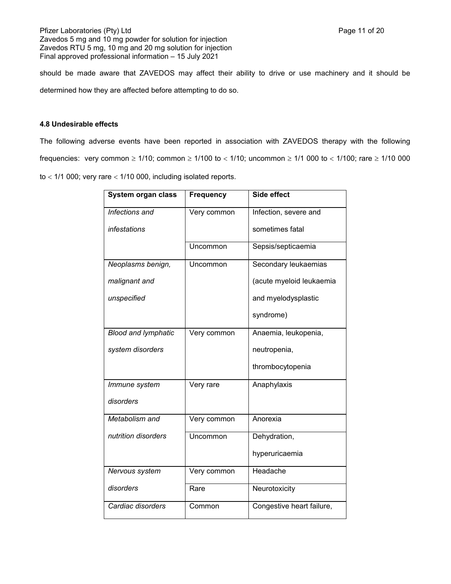should be made aware that ZAVEDOS may affect their ability to drive or use machinery and it should be determined how they are affected before attempting to do so.

# **4.8 Undesirable effects**

The following adverse events have been reported in association with ZAVEDOS therapy with the following frequencies: very common  $\geq 1/10$ ; common  $\geq 1/100$  to  $< 1/10$ ; uncommon  $\geq 1/1$  000 to  $< 1/100$ ; rare  $\geq 1/10$  000 to  $<$  1/1 000; very rare  $<$  1/10 000, including isolated reports.

| System organ class         | <b>Frequency</b> | Side effect               |
|----------------------------|------------------|---------------------------|
| Infections and             | Very common      | Infection, severe and     |
| <i>infestations</i>        |                  | sometimes fatal           |
|                            | Uncommon         | Sepsis/septicaemia        |
| Neoplasms benign,          | Uncommon         | Secondary leukaemias      |
| malignant and              |                  | (acute myeloid leukaemia  |
| unspecified                |                  | and myelodysplastic       |
|                            |                  | syndrome)                 |
| <b>Blood and lymphatic</b> | Very common      | Anaemia, leukopenia,      |
| system disorders           |                  | neutropenia,              |
|                            |                  | thrombocytopenia          |
| Immune system              | Very rare        | Anaphylaxis               |
| disorders                  |                  |                           |
| Metabolism and             | Very common      | Anorexia                  |
| nutrition disorders        | Uncommon         | Dehydration,              |
|                            |                  | hyperuricaemia            |
| Nervous system             | Very common      | Headache                  |
| disorders                  | Rare             | Neurotoxicity             |
| Cardiac disorders          | Common           | Congestive heart failure, |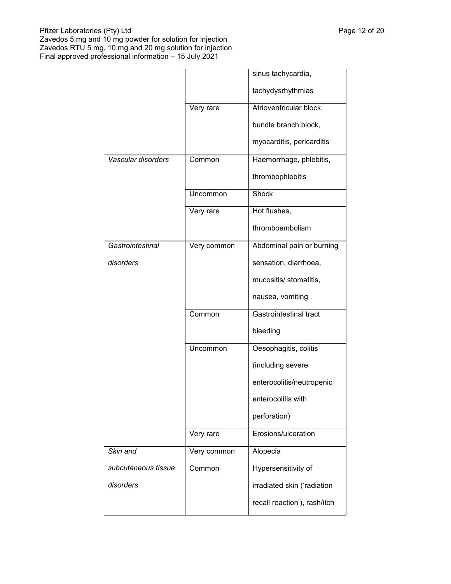|                     |             | sinus tachycardia,            |
|---------------------|-------------|-------------------------------|
|                     |             | tachydysrhythmias             |
|                     | Very rare   | Atrioventricular block,       |
|                     |             | bundle branch block,          |
|                     |             | myocarditis, pericarditis     |
| Vascular disorders  | Common      | Haemorrhage, phlebitis,       |
|                     |             | thrombophlebitis              |
|                     | Uncommon    | Shock                         |
|                     | Very rare   | Hot flushes,                  |
|                     |             | thromboembolism               |
| Gastrointestinal    | Very common | Abdominal pain or burning     |
| disorders           |             | sensation, diarrhoea,         |
|                     |             | mucositis/ stomatitis,        |
|                     |             | nausea, vomiting              |
|                     | Common      | <b>Gastrointestinal tract</b> |
|                     |             | bleeding                      |
|                     | Uncommon    | Oesophagitis, colitis         |
|                     |             | (including severe             |
|                     |             | enterocolitis/neutropenic     |
|                     |             | enterocolitis with            |
|                     |             | perforation)                  |
|                     | Very rare   | Erosions/ulceration           |
| Skin and            | Very common | Alopecia                      |
| subcutaneous tissue | Common      | Hypersensitivity of           |
| disorders           |             | irradiated skin ('radiation   |
|                     |             | recall reaction'), rash/itch  |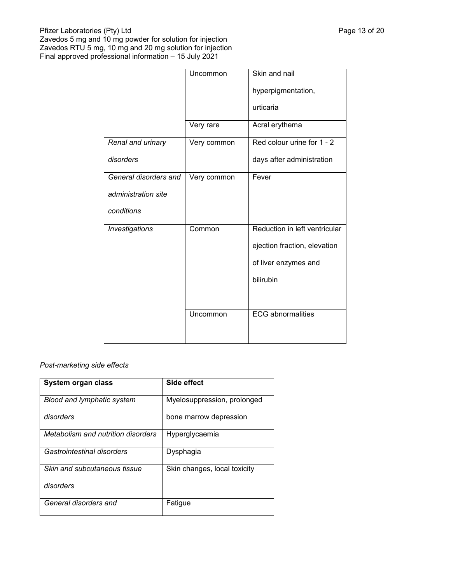|                       | Uncommon    | Skin and nail                 |
|-----------------------|-------------|-------------------------------|
|                       |             | hyperpigmentation,            |
|                       |             | urticaria                     |
|                       | Very rare   | Acral erythema                |
| Renal and urinary     | Very common | Red colour urine for 1 - 2    |
| disorders             |             | days after administration     |
| General disorders and | Very common | Fever                         |
| administration site   |             |                               |
| conditions            |             |                               |
| Investigations        | Common      | Reduction in left ventricular |
|                       |             | ejection fraction, elevation  |
|                       |             | of liver enzymes and          |
|                       |             | bilirubin                     |
|                       |             |                               |
|                       | Uncommon    | <b>ECG</b> abnormalities      |
|                       |             |                               |

# *Post-marketing side effects*

| System organ class                 | Side effect                  |
|------------------------------------|------------------------------|
| <b>Blood and lymphatic system</b>  | Myelosuppression, prolonged  |
| disorders                          | bone marrow depression       |
| Metabolism and nutrition disorders | Hyperglycaemia               |
| Gastrointestinal disorders         | Dysphagia                    |
| Skin and subcutaneous tissue       | Skin changes, local toxicity |
| disorders                          |                              |
| General disorders and              | Fatique                      |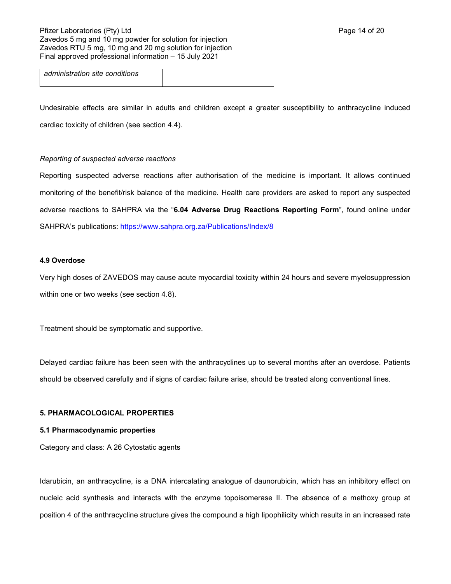# Pfizer Laboratories (Pty) Ltd **Page 14 of 20** Page 14 of 20 Zavedos 5 mg and 10 mg powder for solution for injection Zavedos RTU 5 mg, 10 mg and 20 mg solution for injection Final approved professional information – 15 July 2021

*administration site conditions*

Undesirable effects are similar in adults and children except a greater susceptibility to anthracycline induced cardiac toxicity of children (see section 4.4).

# *Reporting of suspected adverse reactions*

Reporting suspected adverse reactions after authorisation of the medicine is important. It allows continued monitoring of the benefit/risk balance of the medicine. Health care providers are asked to report any suspected adverse reactions to SAHPRA via the "**6.04 Adverse Drug Reactions Reporting Form**", found online under SAHPRA's publications:<https://www.sahpra.org.za/Publications/Index/8>

### **4.9 Overdose**

Very high doses of ZAVEDOS may cause acute myocardial toxicity within 24 hours and severe myelosuppression within one or two weeks (see section 4.8).

Treatment should be symptomatic and supportive.

Delayed cardiac failure has been seen with the anthracyclines up to several months after an overdose. Patients should be observed carefully and if signs of cardiac failure arise, should be treated along conventional lines.

# **5. PHARMACOLOGICAL PROPERTIES**

# **5.1 Pharmacodynamic properties**

Category and class: A 26 Cytostatic agents

Idarubicin, an anthracycline, is a DNA intercalating analogue of daunorubicin, which has an inhibitory effect on nucleic acid synthesis and interacts with the enzyme topoisomerase II. The absence of a methoxy group at position 4 of the anthracycline structure gives the compound a high lipophilicity which results in an increased rate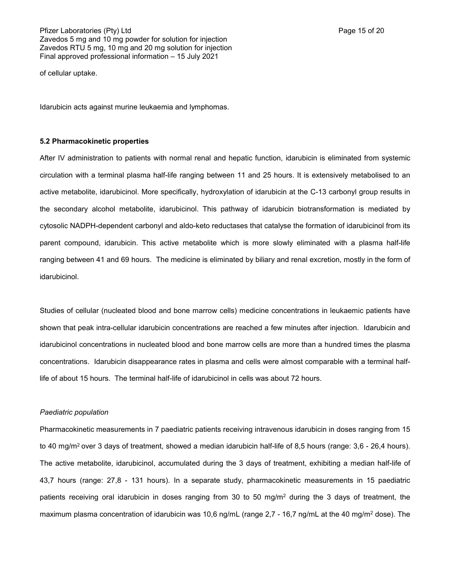of cellular uptake.

Idarubicin acts against murine leukaemia and lymphomas.

#### **5.2 Pharmacokinetic properties**

After IV administration to patients with normal renal and hepatic function, idarubicin is eliminated from systemic circulation with a terminal plasma half-life ranging between 11 and 25 hours. It is extensively metabolised to an active metabolite, idarubicinol. More specifically, hydroxylation of idarubicin at the C-13 carbonyl group results in the secondary alcohol metabolite, idarubicinol. This pathway of idarubicin biotransformation is mediated by cytosolic NADPH-dependent carbonyl and aldo-keto reductases that catalyse the formation of idarubicinol from its parent compound, idarubicin. This active metabolite which is more slowly eliminated with a plasma half-life ranging between 41 and 69 hours. The medicine is eliminated by biliary and renal excretion, mostly in the form of idarubicinol.

Studies of cellular (nucleated blood and bone marrow cells) medicine concentrations in leukaemic patients have shown that peak intra-cellular idarubicin concentrations are reached a few minutes after injection. Idarubicin and idarubicinol concentrations in nucleated blood and bone marrow cells are more than a hundred times the plasma concentrations. Idarubicin disappearance rates in plasma and cells were almost comparable with a terminal halflife of about 15 hours. The terminal half-life of idarubicinol in cells was about 72 hours.

#### *Paediatric population*

Pharmacokinetic measurements in 7 paediatric patients receiving intravenous idarubicin in doses ranging from 15 to 40 mg/m<sup>2</sup> over 3 days of treatment, showed a median idarubicin half-life of 8,5 hours (range: 3,6 - 26,4 hours). The active metabolite, idarubicinol, accumulated during the 3 days of treatment, exhibiting a median half-life of 43,7 hours (range: 27,8 - 131 hours). In a separate study, pharmacokinetic measurements in 15 paediatric patients receiving oral idarubicin in doses ranging from 30 to 50 mg/m<sup>2</sup> during the 3 days of treatment, the maximum plasma concentration of idarubicin was 10,6 ng/mL (range 2,7 - 16,7 ng/mL at the 40 mg/m<sup>2</sup> dose). The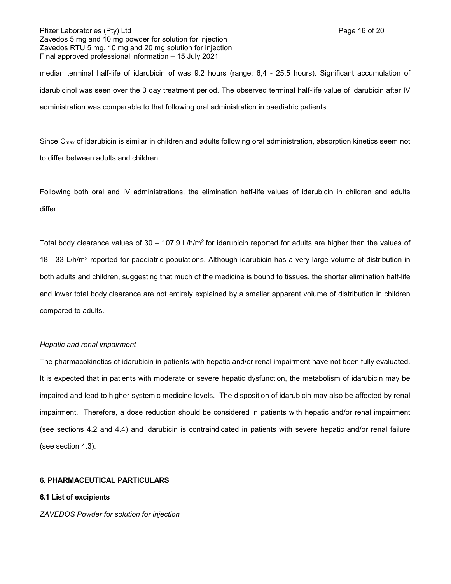### Pfizer Laboratories (Pty) Ltd **Page 16 of 20** Page 16 of 20 Zavedos 5 mg and 10 mg powder for solution for injection Zavedos RTU 5 mg, 10 mg and 20 mg solution for injection Final approved professional information – 15 July 2021

median terminal half-life of idarubicin of was 9,2 hours (range: 6,4 - 25,5 hours). Significant accumulation of idarubicinol was seen over the 3 day treatment period. The observed terminal half-life value of idarubicin after IV administration was comparable to that following oral administration in paediatric patients.

Since C<sub>max</sub> of idarubicin is similar in children and adults following oral administration, absorption kinetics seem not to differ between adults and children.

Following both oral and IV administrations, the elimination half-life values of idarubicin in children and adults differ.

Total body clearance values of  $30 - 107,9$  L/h/m<sup>2</sup> for idarubicin reported for adults are higher than the values of 18 - 33 L/h/m<sup>2</sup> reported for paediatric populations. Although idarubicin has a very large volume of distribution in both adults and children, suggesting that much of the medicine is bound to tissues, the shorter elimination half-life and lower total body clearance are not entirely explained by a smaller apparent volume of distribution in children compared to adults.

# *Hepatic and renal impairment*

The pharmacokinetics of idarubicin in patients with hepatic and/or renal impairment have not been fully evaluated. It is expected that in patients with moderate or severe hepatic dysfunction, the metabolism of idarubicin may be impaired and lead to higher systemic medicine levels. The disposition of idarubicin may also be affected by renal impairment. Therefore, a dose reduction should be considered in patients with hepatic and/or renal impairment (see sections 4.2 and 4.4) and idarubicin is contraindicated in patients with severe hepatic and/or renal failure (see section 4.3).

# **6. PHARMACEUTICAL PARTICULARS**

# **6.1 List of excipients**

# *ZAVEDOS Powder for solution for injection*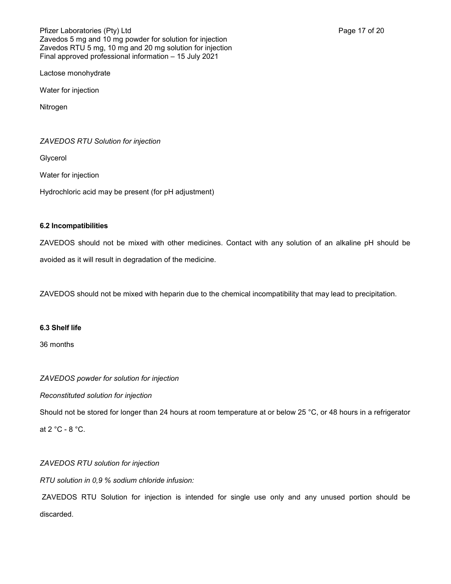Lactose monohydrate

Water for injection

**Nitrogen** 

*ZAVEDOS RTU Solution for injection*

Glycerol

Water for injection

Hydrochloric acid may be present (for pH adjustment)

# **6.2 Incompatibilities**

ZAVEDOS should not be mixed with other medicines. Contact with any solution of an alkaline pH should be avoided as it will result in degradation of the medicine.

ZAVEDOS should not be mixed with heparin due to the chemical incompatibility that may lead to precipitation.

# **6.3 Shelf life**

36 months

*ZAVEDOS powder for solution for injection*

*Reconstituted solution for injection*

Should not be stored for longer than 24 hours at room temperature at or below 25 °C, or 48 hours in a refrigerator at 2 °C - 8 °C.

# *ZAVEDOS RTU solution for injection*

*RTU solution in 0,9 % sodium chloride infusion:*

ZAVEDOS RTU Solution for injection is intended for single use only and any unused portion should be discarded.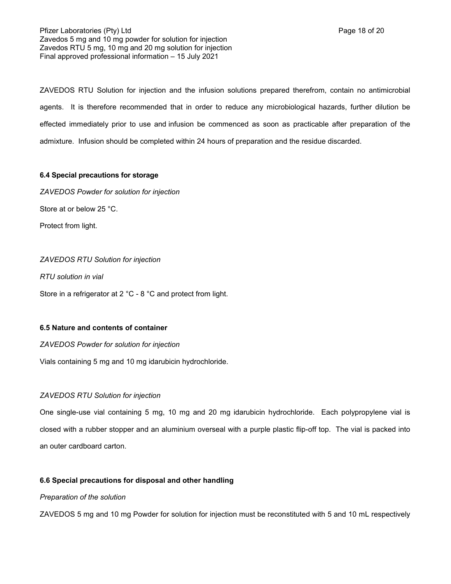Pfizer Laboratories (Pty) Ltd **Page 18 of 20** Page 18 of 20 Zavedos 5 mg and 10 mg powder for solution for injection Zavedos RTU 5 mg, 10 mg and 20 mg solution for injection Final approved professional information – 15 July 2021

ZAVEDOS RTU Solution for injection and the infusion solutions prepared therefrom, contain no antimicrobial agents. It is therefore recommended that in order to reduce any microbiological hazards, further dilution be effected immediately prior to use and infusion be commenced as soon as practicable after preparation of the admixture. Infusion should be completed within 24 hours of preparation and the residue discarded.

# **6.4 Special precautions for storage**

*ZAVEDOS Powder for solution for injection* Store at or below 25 °C. Protect from light.

# *ZAVEDOS RTU Solution for injection*

*RTU solution in vial*

Store in a refrigerator at 2 °C - 8 °C and protect from light.

# **6.5 Nature and contents of container**

*ZAVEDOS Powder for solution for injection*

Vials containing 5 mg and 10 mg idarubicin hydrochloride.

# *ZAVEDOS RTU Solution for injection*

One single-use vial containing 5 mg, 10 mg and 20 mg idarubicin hydrochloride. Each polypropylene vial is closed with a rubber stopper and an aluminium overseal with a purple plastic flip-off top. The vial is packed into an outer cardboard carton.

# **6.6 Special precautions for disposal and other handling**

# *Preparation of the solution*

ZAVEDOS 5 mg and 10 mg Powder for solution for injection must be reconstituted with 5 and 10 mL respectively